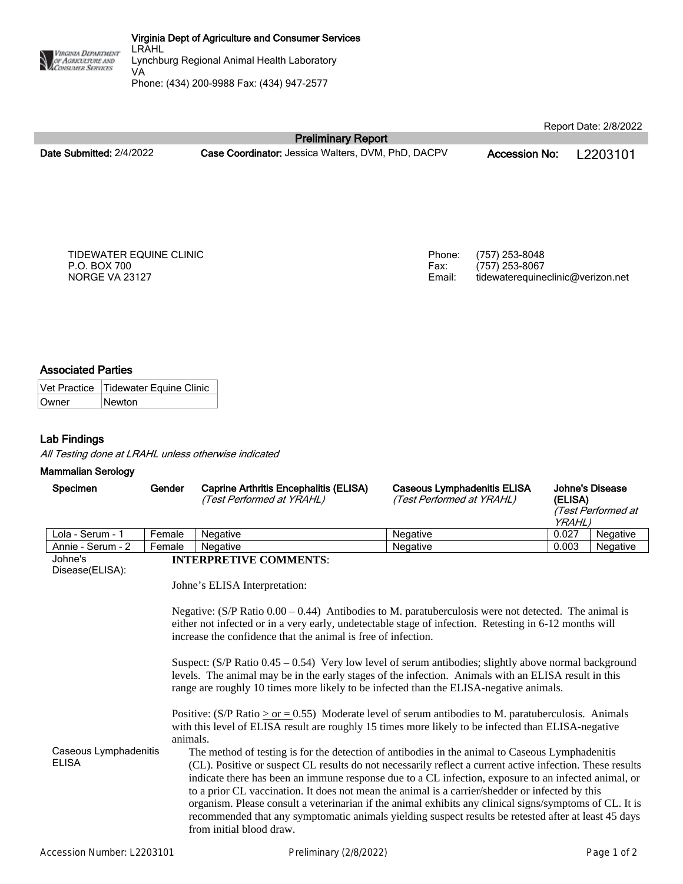Phone: (434) 200-9988 Fax: (434) 947-2577

**Date Submitted:** 2/4/2022 **Case Coordinator:** Jessica Walters, DVM, PhD, DACPV **Accession No:** L2203101

Report Date: 2/8/2022

TIDEWATER EQUINE CLINIC P.O. BOX 700 NORGE VA 23127

Phone: (757) 253-8048 Fax: (757) 253-8067 Email: tidewaterequineclinic@verizon.net

# **Associated Parties**

VIRGINIA DEPARTMENT OF AGRICULTURE AND

Vet Practice | Tidewater Equine Clinic Owner Newton

# **Lab Findings**

*All Testing done at LRAHL unless otherwise indicated*

#### **Mammalian Serology**

| Specimen          | Gender | <b>Caprine Arthritis Encephalitis (ELISA)</b><br>(Test Performed at YRAHL) | Caseous Lymphadenitis ELISA<br>(Test Performed at YRAHL) | (ELISA)<br><i>YRAHL.</i> | Johne's Disease<br>(Test Performed at |
|-------------------|--------|----------------------------------------------------------------------------|----------------------------------------------------------|--------------------------|---------------------------------------|
| Lola - Serum - 1  | Female | <b>Negative</b>                                                            | Negative                                                 | 0.027                    | Negative                              |
| Annie - Serum - 2 | Female | <b>Negative</b>                                                            | Negative                                                 | 0.003                    | Negative                              |

**Preliminary Report**

Johne's Disease(ELISA):

## **INTERPRETIVE COMMENTS**:

Johne's ELISA Interpretation:

Negative: (S/P Ratio 0.00 – 0.44) Antibodies to M. paratuberculosis were not detected. The animal is either not infected or in a very early, undetectable stage of infection. Retesting in 6-12 months will increase the confidence that the animal is free of infection.

Suspect: (S/P Ratio 0.45 – 0.54) Very low level of serum antibodies; slightly above normal background levels. The animal may be in the early stages of the infection. Animals with an ELISA result in this range are roughly 10 times more likely to be infected than the ELISA-negative animals.

Positive:  $(S/P \text{ Ratio} > \text{or} = 0.55)$  Moderate level of serum antibodies to M. paratuberculosis. Animals with this level of ELISA result are roughly 15 times more likely to be infected than ELISA-negative animals.

Caseous Lymphadenitis ELISA The method of testing is for the detection of antibodies in the animal to Caseous Lymphadenitis (CL). Positive or suspect CL results do not necessarily reflect a current active infection. These results indicate there has been an immune response due to a CL infection, exposure to an infected animal, or to a prior CL vaccination. It does not mean the animal is a carrier/shedder or infected by this organism. Please consult a veterinarian if the animal exhibits any clinical signs/symptoms of CL. It is recommended that any symptomatic animals yielding suspect results be retested after at least 45 days from initial blood draw.